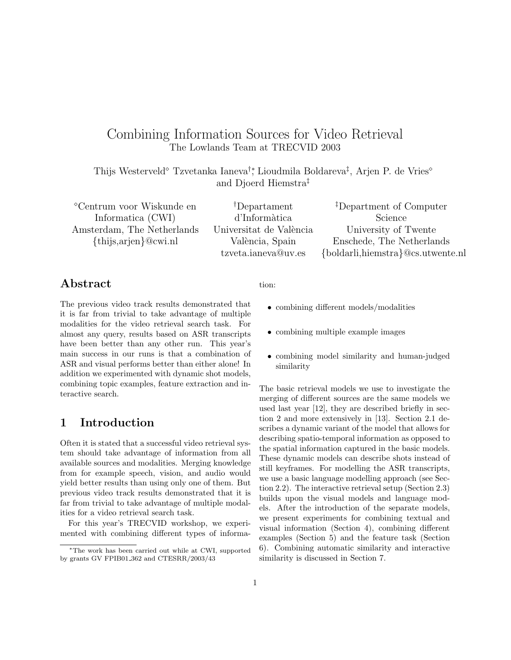# Combining Information Sources for Video Retrieval The Lowlands Team at TRECVID 2003

Thijs Westerveld<sup>®</sup> Tzvetanka Ianeva<sup>†</sup>; Lioudmila Boldareva<sup>‡</sup>, Arjen P. de Vries<sup>®</sup> and Djoerd Hiemstra‡

Centrum voor Wiskunde en Informatica (CWI) Amsterdam, The Netherlands {thijs,arjen}@cwi.nl

†Departament d'Inform`atica Universitat de València València, Spain tzveta.ianeva@uv.es

‡Department of Computer Science University of Twente Enschede, The Netherlands {boldarli,hiemstra}@cs.utwente.nl

### Abstract

The previous video track results demonstrated that it is far from trivial to take advantage of multiple modalities for the video retrieval search task. For almost any query, results based on ASR transcripts have been better than any other run. This year's main success in our runs is that a combination of ASR and visual performs better than either alone! In addition we experimented with dynamic shot models, combining topic examples, feature extraction and interactive search.

## 1 Introduction

Often it is stated that a successful video retrieval system should take advantage of information from all available sources and modalities. Merging knowledge from for example speech, vision, and audio would yield better results than using only one of them. But previous video track results demonstrated that it is far from trivial to take advantage of multiple modalities for a video retrieval search task.

For this year's TRECVID workshop, we experimented with combining different types of information:

- combining different models/modalities
- combining multiple example images
- combining model similarity and human-judged similarity

The basic retrieval models we use to investigate the merging of different sources are the same models we used last year [12], they are described briefly in section 2 and more extensively in [13]. Section 2.1 describes a dynamic variant of the model that allows for describing spatio-temporal information as opposed to the spatial information captured in the basic models. These dynamic models can describe shots instead of still keyframes. For modelling the ASR transcripts, we use a basic language modelling approach (see Section 2.2). The interactive retrieval setup (Section 2.3) builds upon the visual models and language models. After the introduction of the separate models, we present experiments for combining textual and visual information (Section 4), combining different examples (Section 5) and the feature task (Section 6). Combining automatic similarity and interactive similarity is discussed in Section 7.

<sup>∗</sup>The work has been carried out while at CWI, supported by grants GV FPIB01 362 and CTESRR/2003/43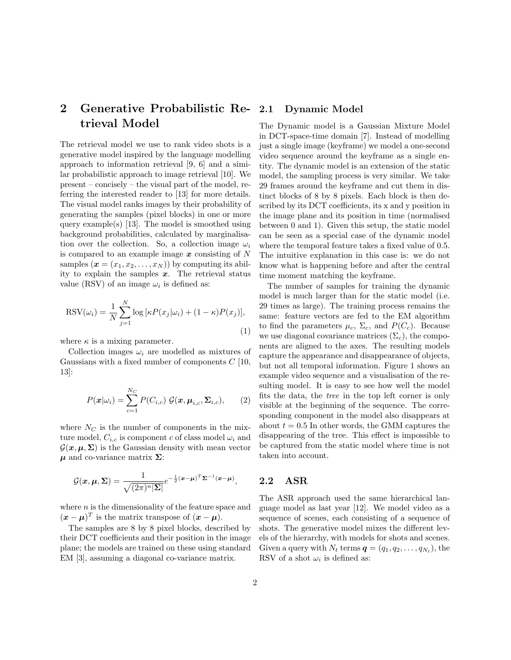# 2 Generative Probabilistic Retrieval Model

The retrieval model we use to rank video shots is a generative model inspired by the language modelling approach to information retrieval [9, 6] and a similar probabilistic approach to image retrieval [10]. We present – concisely – the visual part of the model, referring the interested reader to [13] for more details. The visual model ranks images by their probability of generating the samples (pixel blocks) in one or more query example(s) [13]. The model is smoothed using background probabilities, calculated by marginalisation over the collection. So, a collection image  $\omega_i$ is compared to an example image  $x$  consisting of  $N$ samples  $(\mathbf{x} = (x_1, x_2, \dots, x_N))$  by computing its ability to explain the samples  $x$ . The retrieval status value (RSV) of an image  $\omega_i$  is defined as:

$$
RSV(\omega_i) = \frac{1}{N} \sum_{j=1}^{N} \log \left[ \kappa P(x_j | \omega_i) + (1 - \kappa) P(x_j) \right],\tag{1}
$$

where  $\kappa$  is a mixing parameter.

Collection images  $\omega_i$  are modelled as mixtures of Gaussians with a fixed number of components  $C$  [10, 13]:

$$
P(\boldsymbol{x}|\omega_i) = \sum_{c=1}^{N_C} P(C_{i,c}) \mathcal{G}(\boldsymbol{x}, \boldsymbol{\mu}_{i,c}, \boldsymbol{\Sigma}_{i,c}), \qquad (2)
$$

where  $N_C$  is the number of components in the mixture model,  $C_{i,c}$  is component c of class model  $\omega_i$  and  $\mathcal{G}(\mathbf{x}, \mu, \Sigma)$  is the Gaussian density with mean vector  $\mu$  and co-variance matrix  $\Sigma$ :

$$
\mathcal{G}(\boldsymbol{x},\boldsymbol{\mu},\boldsymbol{\Sigma})=\frac{1}{\sqrt{(2\pi)^n|\boldsymbol{\Sigma}|}}e^{-\frac{1}{2}(\boldsymbol{x}-\boldsymbol{\mu})^T\boldsymbol{\Sigma}^{-1}(\boldsymbol{x}-\boldsymbol{\mu})},
$$

where  $n$  is the dimensionality of the feature space and  $(\boldsymbol{x} - \boldsymbol{\mu})^T$  is the matrix transpose of  $(\boldsymbol{x} - \boldsymbol{\mu})$ .

The samples are 8 by 8 pixel blocks, described by their DCT coefficients and their position in the image plane; the models are trained on these using standard EM [3], assuming a diagonal co-variance matrix.

#### Dynamic Model

The Dynamic model is a Gaussian Mixture Model in DCT-space-time domain [7]. Instead of modelling just a single image (keyframe) we model a one-second video sequence around the keyframe as a single entity. The dynamic model is an extension of the static model, the sampling process is very similar. We take 29 frames around the keyframe and cut them in distinct blocks of 8 by 8 pixels. Each block is then described by its DCT coefficients, its x and y position in the image plane and its position in time (normalised between 0 and 1). Given this setup, the static model can be seen as a special case of the dynamic model where the temporal feature takes a fixed value of 0.5. The intuitive explanation in this case is: we do not know what is happening before and after the central time moment matching the keyframe.

The number of samples for training the dynamic model is much larger than for the static model (i.e. 29 times as large). The training process remains the same: feature vectors are fed to the EM algorithm to find the parameters  $\mu_c$ ,  $\Sigma_c$ , and  $P(C_c)$ . Because we use diagonal covariance matrices  $(\Sigma_c)$ , the components are aligned to the axes. The resulting models capture the appearance and disappearance of objects, but not all temporal information. Figure 1 shows an example video sequence and a visualisation of the resulting model. It is easy to see how well the model fits the data, the tree in the top left corner is only visible at the beginning of the sequence. The corresponding component in the model also disappears at about  $t = 0.5$  In other words, the GMM captures the disappearing of the tree. This effect is impossible to be captured from the static model where time is not taken into account.

### 2.2 ASR

The ASR approach used the same hierarchical language model as last year [12]. We model video as a sequence of scenes, each consisting of a sequence of shots. The generative model mixes the different levels of the hierarchy, with models for shots and scenes. Given a query with  $N_t$  terms  $\boldsymbol{q} = (q_1, q_2, \dots, q_{N_t})$ , the RSV of a shot  $\omega_i$  is defined as: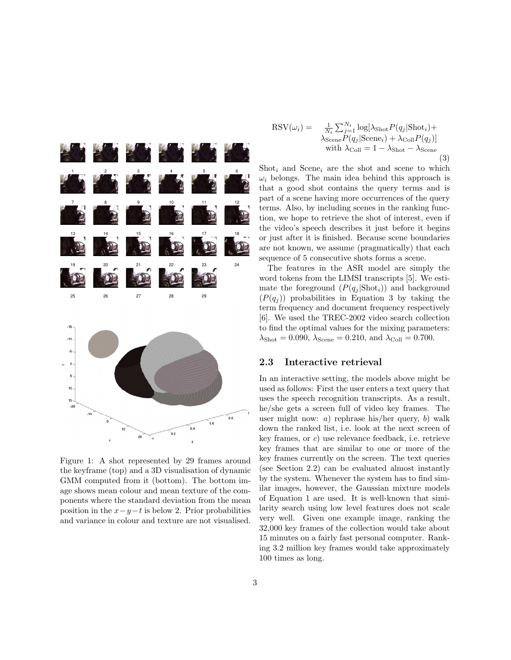

Figure 1: A shot represented by 29 frames around the keyframe (top) and a 3D visualisation of dynamic GMM computed from it (bottom). The bottom image shows mean colour and mean texture of the components where the standard deviation from the mean position in the  $x-y-t$  is below 2. Prior probabilities and variance in colour and texture are not visualised.

$$
RSV(\omega_i) = \frac{1}{N_t} \sum_{j=1}^{N_t} \log[\lambda_{\text{shot}} P(q_j | \text{Short}_i) + \lambda_{\text{Scen}} P(q_j | \text{Scene}_i) + \lambda_{\text{Coll}} P(q_j)]
$$
  
with  $\lambda_{\text{Coll}} = 1 - \lambda_{\text{Short}} - \lambda_{\text{Scene}}$  (3)

Shot<sub>i</sub> and Scene<sub>i</sub> are the shot and scene to which  $\omega_i$  belongs. The main idea behind this approach is that a good shot contains the query terms and is part of a scene having more occurrences of the query terms. Also, by including scenes in the ranking function, we hope to retrieve the shot of interest, even if the video's speech describes it just before it begins or just after it is finished. Because scene boundaries are not known, we assume (pragmatically) that each sequence of 5 consecutive shots forms a scene.

The features in the ASR model are simply the word tokens from the LIMSI transcripts [5]. We estimate the foreground  $(P(q_i | \text{shot}_i))$  and background  $(P(q_i))$  probabilities in Equation 3 by taking the term frequency and document frequency respectively [6]. We used the TREC-2002 video search collection to find the optimal values for the mixing parameters:  $\lambda_{\text{Short}} = 0.090, \, \lambda_{\text{Scene}} = 0.210, \, \text{and} \, \, \lambda_{\text{Coll}} = 0.700.$ 

#### 2.3 Interactive retrieval

In an interactive setting, the models above might be used as follows: First the user enters a text query that uses the speech recognition transcripts. As a result, he/she gets a screen full of video key frames. The user might now: a) rephrase his/her query, b) walk down the ranked list, i.e. look at the next screen of key frames, or c) use relevance feedback, i.e. retrieve key frames that are similar to one or more of the key frames currently on the screen. The text queries (see Section 2.2) can be evaluated almost instantly by the system. Whenever the system has to find similar images, however, the Gaussian mixture models of Equation 1 are used. It is well-known that similarity search using low level features does not scale very well. Given one example image, ranking the 32,000 key frames of the collection would take about 15 minutes on a fairly fast personal computer. Ranking 3.2 million key frames would take approximately 100 times as long.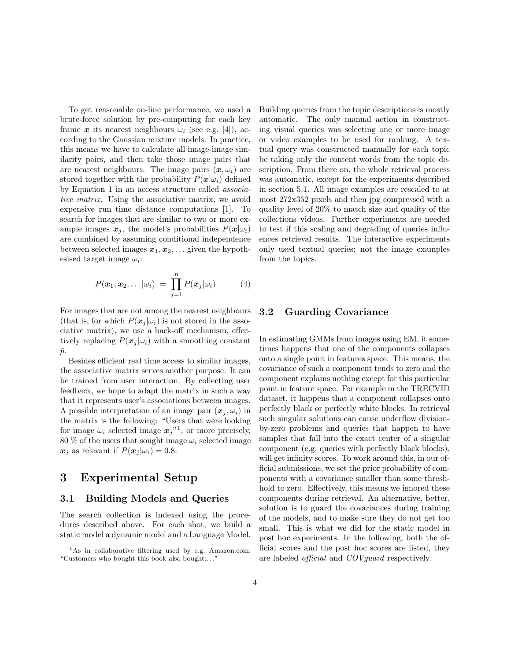To get reasonable on-line performance, we used a brute-force solution by pre-computing for each key frame x its nearest neighbours  $\omega_i$  (see e.g. [4]), according to the Gaussian mixture models. In practice, this means we have to calculate all image-image similarity pairs, and then take those image pairs that are nearest neighbours. The image pairs  $(x, \omega_i)$  are stored together with the probability  $P(\mathbf{x}|\omega_i)$  defined by Equation 1 in an access structure called associative matrix. Using the associative matrix, we avoid expensive run time distance computations [1]. To search for images that are similar to two or more example images  $x_j$ , the model's probabilities  $P(x|\omega_i)$ are combined by assuming conditional independence between selected images  $x_1, x_2, \ldots$  given the hypothesised target image  $\omega_i$ :

$$
P(\boldsymbol{x}_1, \boldsymbol{x}_2, \ldots | \omega_i) = \prod_{j=1}^n P(\boldsymbol{x}_j | \omega_i)
$$
 (4)

For images that are not among the nearest neighbours (that is, for which  $P(\mathbf{x}_i | \omega_i)$  is not stored in the associative matrix), we use a back-off mechanism, effectively replacing  $P(x_i | \omega_i)$  with a smoothing constant  $\bar{p}$ .

Besides efficient real time access to similar images, the associative matrix serves another purpose: It can be trained from user interaction. By collecting user feedback, we hope to adapt the matrix in such a way that it represents user's associations between images. A possible interpretation of an image pair  $(x_i, \omega_i)$  in the matrix is the following: "Users that were looking for image  $\omega_i$  selected image  $\boldsymbol{x}_j$ <sup>"1</sup>, or more precisely, 80 % of the users that sought image  $\omega_i$  selected image  $x_i$  as relevant if  $P(x_i | \omega_i) = 0.8$ .

## 3 Experimental Setup

#### 3.1 Building Models and Queries

The search collection is indexed using the procedures described above. For each shot, we build a static model a dynamic model and a Language Model. Building queries from the topic descriptions is mostly automatic. The only manual action in constructing visual queries was selecting one or more image or video examples to be used for ranking. A textual query was constructed manually for each topic be taking only the content words from the topic description. From there on, the whole retrieval process was automatic, except for the experiments described in section 5.1. All image examples are rescaled to at most 272x352 pixels and then jpg compressed with a quality level of 20% to match size and quality of the collections videos. Further experiments are needed to test if this scaling and degrading of queries influences retrieval results. The interactive experiments only used textual queries; not the image examples from the topics.

#### 3.2 Guarding Covariance

In estimating GMMs from images using EM, it sometimes happens that one of the components collapses onto a single point in features space. This means, the covariance of such a component tends to zero and the component explains nothing except for this particular point in feature space. For example in the TRECVID dataset, it happens that a component collapses onto perfectly black or perfectly white blocks. In retrieval such singular solutions can cause underflow divisionby-zero problems and queries that happen to have samples that fall into the exact center of a singular component (e.g. queries with perfectly black blocks), will get infinity scores. To work around this, in our official submissions, we set the prior probability of components with a covariance smaller than some threshhold to zero. Effectively, this means we ignored these components during retrieval. An alternative, better, solution is to guard the covariances during training of the models, and to make sure they do not get too small. This is what we did for the static model in post hoc experiments. In the following, both the official scores and the post hoc scores are listed, they are labeled official and COVguard respectively.

 ${}^{1}$ As in collaborative filtering used by e.g. Amazon.com: "Customers who bought this book also bought:. . ."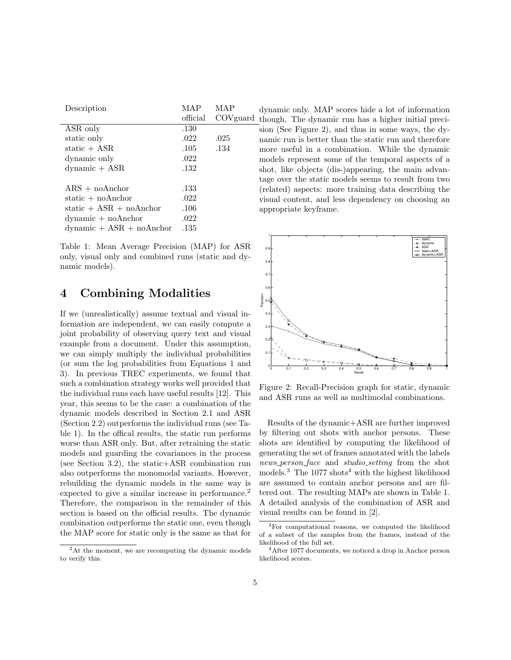| Description                                      | MAP      | MAP      |
|--------------------------------------------------|----------|----------|
|                                                  | official | COVguard |
| ASR only                                         | .130     |          |
| static only                                      | .022     | .025     |
| static $+$ ASR                                   | .105     | .134     |
| dynamic only                                     | .022     |          |
| $d$ ynamic + $ASR$                               | .132     |          |
| $ARS + noAnchor$                                 | .133     |          |
| static $+$ noAnchor                              | .022     |          |
| static $+$ ASR $+$ noAnchor                      | .106     |          |
| $dynamic + noAnother$                            | .022     |          |
| $\text{dynamic} + \text{ASR} + \text{no}$ Anchor | .135     |          |
|                                                  |          |          |

Table 1: Mean Average Precision (MAP) for ASR only, visual only and combined runs (static and dynamic models).

### 4 Combining Modalities

If we (unrealistically) assume textual and visual information are independent, we can easily compute a joint probability of observing query text and visual example from a document. Under this assumption, we can simply multiply the individual probabilities (or sum the log probabilities from Equations 1 and 3). In previous TREC experiments, we found that such a combination strategy works well provided that the individual runs each have useful results [12]. This year, this seems to be the case: a combination of the dynamic models described in Section 2.1 and ASR (Section 2.2) outperforms the individual runs (see Table 1). In the offical results, the static run performs worse than ASR only. But, after retraining the static models and guarding the covariances in the process (see Section 3.2), the static+ASR combination run also outperforms the monomodal variants. However, rebuilding the dynamic models in the same way is expected to give a similar increase in performance.<sup>2</sup> Therefore, the comparison in the remainder of this section is based on the official results. The dynamic combination outperforms the static one, even though the MAP score for static only is the same as that for

dynamic only. MAP scores hide a lot of information though. The dynamic run has a higher initial precision (See Figure 2), and thus in some ways, the dynamic run is better than the static run and therefore more useful in a combination. While the dynamic models represent some of the temporal aspects of a shot, like objects (dis-)appearing, the main advantage over the static models seems to result from two (related) aspects: more training data describing the visual content, and less dependency on choosing an appropriate keyframe.



Figure 2: Recall-Precision graph for static, dynamic and ASR runs as well as multimodal combinations.

Results of the dynamic+ASR are further improved by filtering out shots with anchor persons. These shots are identified by computing the likelihood of generating the set of frames annotated with the labels news person face and studio setting from the shot models.<sup>3</sup> The 1077 shots<sup>4</sup> with the highest likelihood are assumed to contain anchor persons and are filtered out. The resulting MAPs are shown in Table 1. A detailed analysis of the combination of ASR and visual results can be found in [2].

 $2$ At the moment, we are recomputing the dynamic models to verify this.

<sup>3</sup>For computational reasons, we computed the likelihood of a subset of the samples from the frames, instead of the likelihood of the full set.

 $4$ After 1077 documents, we noticed a drop in Anchor person likelihood scores.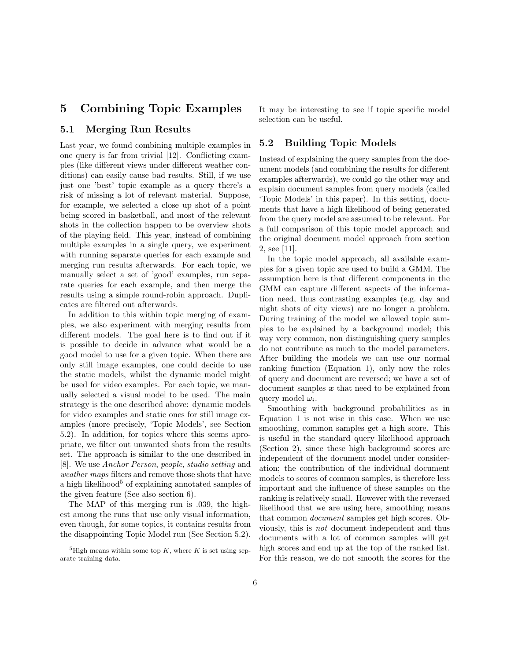## 5 Combining Topic Examples

#### 5.1 Merging Run Results

Last year, we found combining multiple examples in one query is far from trivial [12]. Conflicting examples (like different views under different weather conditions) can easily cause bad results. Still, if we use just one 'best' topic example as a query there's a risk of missing a lot of relevant material. Suppose, for example, we selected a close up shot of a point being scored in basketball, and most of the relevant shots in the collection happen to be overview shots of the playing field. This year, instead of combining multiple examples in a single query, we experiment with running separate queries for each example and merging run results afterwards. For each topic, we manually select a set of 'good' examples, run separate queries for each example, and then merge the results using a simple round-robin approach. Duplicates are filtered out afterwards.

In addition to this within topic merging of examples, we also experiment with merging results from different models. The goal here is to find out if it is possible to decide in advance what would be a good model to use for a given topic. When there are only still image examples, one could decide to use the static models, whilst the dynamic model might be used for video examples. For each topic, we manually selected a visual model to be used. The main strategy is the one described above: dynamic models for video examples and static ones for still image examples (more precisely, 'Topic Models', see Section 5.2). In addition, for topics where this seems apropriate, we filter out unwanted shots from the results set. The approach is similar to the one described in [8]. We use Anchor Person, people, studio setting and weather maps filters and remove those shots that have a high likelihood $5$  of explaining annotated samples of the given feature (See also section 6).

The MAP of this merging run is .039, the highest among the runs that use only visual information, even though, for some topics, it contains results from the disappointing Topic Model run (See Section 5.2).

It may be interesting to see if topic specific model selection can be useful.

#### 5.2 Building Topic Models

Instead of explaining the query samples from the document models (and combining the results for different examples afterwards), we could go the other way and explain document samples from query models (called 'Topic Models' in this paper). In this setting, documents that have a high likelihood of being generated from the query model are assumed to be relevant. For a full comparison of this topic model approach and the original document model approach from section 2, see [11].

In the topic model approach, all available examples for a given topic are used to build a GMM. The assumption here is that different components in the GMM can capture different aspects of the information need, thus contrasting examples (e.g. day and night shots of city views) are no longer a problem. During training of the model we allowed topic samples to be explained by a background model; this way very common, non distinguishing query samples do not contribute as much to the model parameters. After building the models we can use our normal ranking function (Equation 1), only now the roles of query and document are reversed; we have a set of document samples  $x$  that need to be explained from query model  $\omega_i$ .

Smoothing with background probabilities as in Equation 1 is not wise in this case. When we use smoothing, common samples get a high score. This is useful in the standard query likelihood approach (Section 2), since these high background scores are independent of the document model under consideration; the contribution of the individual document models to scores of common samples, is therefore less important and the influence of these samples on the ranking is relatively small. However with the reversed likelihood that we are using here, smoothing means that common document samples get high scores. Obviously, this is not document independent and thus documents with a lot of common samples will get high scores and end up at the top of the ranked list. For this reason, we do not smooth the scores for the

<sup>&</sup>lt;sup>5</sup>High means within some top K, where K is set using separate training data.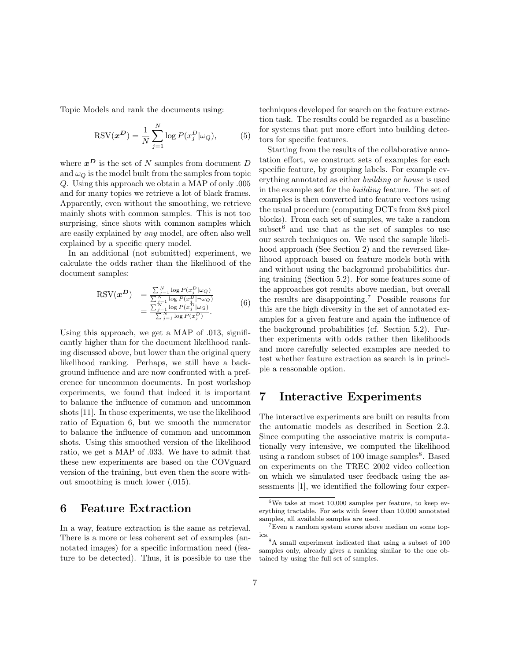Topic Models and rank the documents using:

$$
RSV(\boldsymbol{x}^{\boldsymbol{D}}) = \frac{1}{N} \sum_{j=1}^{N} \log P(x_j^D | \omega_Q), \tag{5}
$$

where  $x^D$  is the set of N samples from document D and  $\omega_Q$  is the model built from the samples from topic Q. Using this approach we obtain a MAP of only .005 and for many topics we retrieve a lot of black frames. Apparently, even without the smoothing, we retrieve mainly shots with common samples. This is not too surprising, since shots with common samples which are easily explained by any model, are often also well explained by a specific query model.

In an additional (not submitted) experiment, we calculate the odds rather than the likelihood of the document samples:

$$
\begin{array}{rcl}\n\text{RSV}(\boldsymbol{x}^{\boldsymbol{D}}) & = \frac{\sum_{j=1}^{N} \log P(x_j^{\boldsymbol{D}} | \omega_Q)}{\sum_{j=1}^{N} \log P(x_j^{\boldsymbol{D}} | \neg \omega_Q)} \\
& = \frac{\sum_{j=1}^{N} \log P(x_j^{\boldsymbol{D}} | \omega_Q)}{\sum_{j=1}^{N} \log P(x_j^{\boldsymbol{D}})}.\n\end{array} \tag{6}
$$

Using this approach, we get a MAP of .013, significantly higher than for the document likelihood ranking discussed above, but lower than the original query likelihood ranking. Perhaps, we still have a background influence and are now confronted with a preference for uncommon documents. In post workshop experiments, we found that indeed it is important to balance the influence of common and uncommon shots [11]. In those experiments, we use the likelihood ratio of Equation 6, but we smooth the numerator to balance the influence of common and uncommon shots. Using this smoothed version of the likelihood ratio, we get a MAP of .033. We have to admit that these new experiments are based on the COVguard version of the training, but even then the score without smoothing is much lower (.015).

### 6 Feature Extraction

In a way, feature extraction is the same as retrieval. There is a more or less coherent set of examples (annotated images) for a specific information need (feature to be detected). Thus, it is possible to use the techniques developed for search on the feature extraction task. The results could be regarded as a baseline for systems that put more effort into building detectors for specific features.

Starting from the results of the collaborative annotation effort, we construct sets of examples for each specific feature, by grouping labels. For example everything annotated as either building or house is used in the example set for the building feature. The set of examples is then converted into feature vectors using the usual procedure (computing DCTs from 8x8 pixel blocks). From each set of samples, we take a random subset $6$  and use that as the set of samples to use our search techniques on. We used the sample likelihood approach (See Section 2) and the reversed likelihood approach based on feature models both with and without using the background probabilities during training (Section 5.2). For some features some of the approaches got results above median, but overall the results are disappointing.<sup>7</sup> Possible reasons for this are the high diversity in the set of annotated examples for a given feature and again the influence of the background probabilities (cf. Section 5.2). Further experiments with odds rather then likelihoods and more carefully selected examples are needed to test whether feature extraction as search is in principle a reasonable option.

### 7 Interactive Experiments

The interactive experiments are built on results from the automatic models as described in Section 2.3. Since computing the associative matrix is computationally very intensive, we computed the likelihood using a random subset of 100 image samples<sup>8</sup>. Based on experiments on the TREC 2002 video collection on which we simulated user feedback using the assessments [1], we identified the following four exper-

 ${}^{6}\mathrm{We}$  take at most 10,000 samples per feature, to keep everything tractable. For sets with fewer than 10,000 annotated samples, all available samples are used.

<sup>7</sup>Even a random system scores above median on some topics.

 $^8\text{A}$  small experiment indicated that using a subset of  $100$ samples only, already gives a ranking similar to the one obtained by using the full set of samples.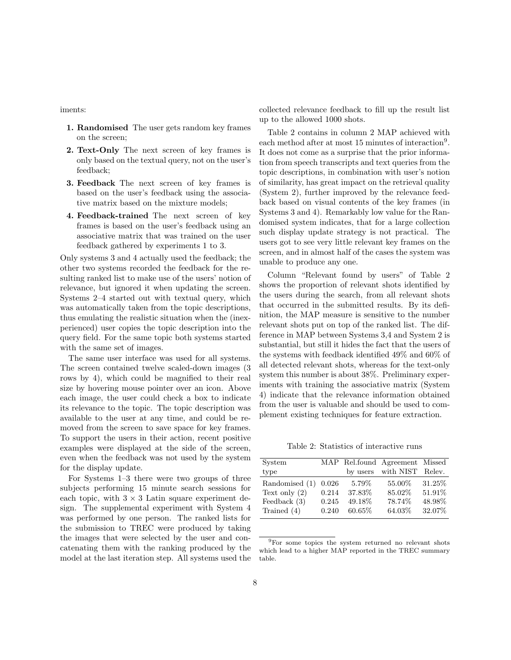iments:

- 1. Randomised The user gets random key frames on the screen;
- 2. Text-Only The next screen of key frames is only based on the textual query, not on the user's feedback;
- 3. Feedback The next screen of key frames is based on the user's feedback using the associative matrix based on the mixture models;
- 4. Feedback-trained The next screen of key frames is based on the user's feedback using an associative matrix that was trained on the user feedback gathered by experiments 1 to 3.

Only systems 3 and 4 actually used the feedback; the other two systems recorded the feedback for the resulting ranked list to make use of the users' notion of relevance, but ignored it when updating the screen. Systems 2–4 started out with textual query, which was automatically taken from the topic descriptions, thus emulating the realistic situation when the (inexperienced) user copies the topic description into the query field. For the same topic both systems started with the same set of images.

The same user interface was used for all systems. The screen contained twelve scaled-down images (3 rows by 4), which could be magnified to their real size by hovering mouse pointer over an icon. Above each image, the user could check a box to indicate its relevance to the topic. The topic description was available to the user at any time, and could be removed from the screen to save space for key frames. To support the users in their action, recent positive examples were displayed at the side of the screen, even when the feedback was not used by the system for the display update.

For Systems 1–3 there were two groups of three subjects performing 15 minute search sessions for each topic, with  $3 \times 3$  Latin square experiment design. The supplemental experiment with System 4 was performed by one person. The ranked lists for the submission to TREC were produced by taking the images that were selected by the user and concatenating them with the ranking produced by the model at the last iteration step. All systems used the collected relevance feedback to fill up the result list up to the allowed 1000 shots.

Table 2 contains in column 2 MAP achieved with each method after at most 15 minutes of interaction<sup>9</sup>. It does not come as a surprise that the prior information from speech transcripts and text queries from the topic descriptions, in combination with user's notion of similarity, has great impact on the retrieval quality (System 2), further improved by the relevance feedback based on visual contents of the key frames (in Systems 3 and 4). Remarkably low value for the Randomised system indicates, that for a large collection such display update strategy is not practical. The users got to see very little relevant key frames on the screen, and in almost half of the cases the system was unable to produce any one.

Column "Relevant found by users" of Table 2 shows the proportion of relevant shots identified by the users during the search, from all relevant shots that occurred in the submitted results. By its definition, the MAP measure is sensitive to the number relevant shots put on top of the ranked list. The difference in MAP between Systems 3,4 and System 2 is substantial, but still it hides the fact that the users of the systems with feedback identified 49% and 60% of all detected relevant shots, whereas for the text-only system this number is about 38%. Preliminary experiments with training the associative matrix (System 4) indicate that the relevance information obtained from the user is valuable and should be used to complement existing techniques for feature extraction.

Table 2: Statistics of interactive runs

| System          |       |          | MAP Rel.found Agreement Missed |        |
|-----------------|-------|----------|--------------------------------|--------|
| type            |       | by users | with NIST Relev.               |        |
| Randomised (1)  | 0.026 | 5.79%    | 55.00%                         | 31.25% |
| Text only $(2)$ | 0.214 | 37.83%   | 85.02%                         | 51.91% |
| Feedback $(3)$  | 0.245 | 49.18\%  | 78.74%                         | 48.98% |
| Trained $(4)$   | 0.240 | 60.65%   | 64.03%                         | 32.07% |

<sup>9</sup>For some topics the system returned no relevant shots which lead to a higher MAP reported in the TREC summary table.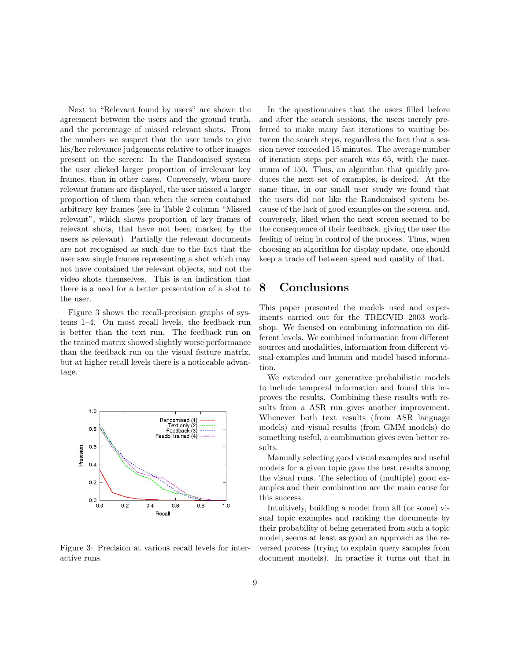Next to "Relevant found by users" are shown the agreement between the users and the ground truth, and the percentage of missed relevant shots. From the numbers we suspect that the user tends to give his/her relevance judgements relative to other images present on the screen: In the Randomised system the user clicked larger proportion of irrelevant key frames, than in other cases. Conversely, when more relevant frames are displayed, the user missed a larger proportion of them than when the screen contained arbitrary key frames (see in Table 2 column "Missed relevant", which shows proportion of key frames of relevant shots, that have not been marked by the users as relevant). Partially the relevant documents are not recognised as such due to the fact that the user saw single frames representing a shot which may not have contained the relevant objects, and not the video shots themselves. This is an indication that there is a need for a better presentation of a shot to the user.

Figure 3 shows the recall-precision graphs of systems 1–4. On most recall levels, the feedback run is better than the text run. The feedback run on the trained matrix showed slightly worse performance than the feedback run on the visual feature matrix, but at higher recall levels there is a noticeable advantage.



Figure 3: Precision at various recall levels for interactive runs.

In the questionnaires that the users filled before and after the search sessions, the users merely preferred to make many fast iterations to waiting between the search steps, regardless the fact that a session never exceeded 15 minutes. The average number of iteration steps per search was 65, with the maximum of 150. Thus, an algorithm that quickly produces the next set of examples, is desired. At the same time, in our small user study we found that the users did not like the Randomised system because of the lack of good examples on the screen, and, conversely, liked when the next screen seemed to be the consequence of their feedback, giving the user the feeling of being in control of the process. Thus, when choosing an algorithm for display update, one should keep a trade off between speed and quality of that.

## 8 Conclusions

This paper presented the models used and experiments carried out for the TRECVID 2003 workshop. We focused on combining information on different levels. We combined information from different sources and modalities, information from different visual examples and human and model based information.

We extended our generative probabilistic models to include temporal information and found this improves the results. Combining these results with results from a ASR run gives another improvement. Whenever both text results (from ASR language models) and visual results (from GMM models) do something useful, a combination gives even better results.

Manually selecting good visual examples and useful models for a given topic gave the best results among the visual runs. The selection of (multiple) good examples and their combination are the main cause for this success.

Intuitively, building a model from all (or some) visual topic examples and ranking the documents by their probability of being generated from such a topic model, seems at least as good an approach as the reversed process (trying to explain query samples from document models). In practise it turns out that in